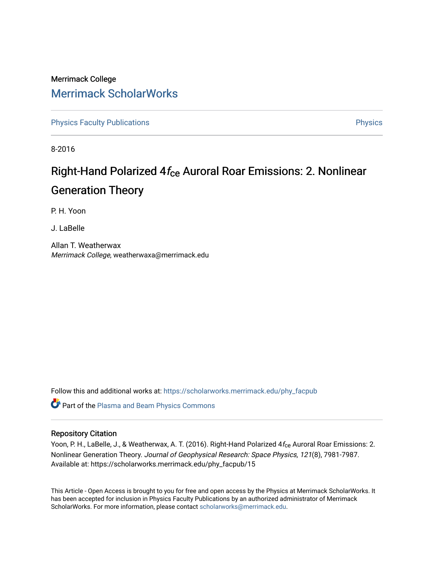### Merrimack College [Merrimack ScholarWorks](https://scholarworks.merrimack.edu/)

[Physics Faculty Publications](https://scholarworks.merrimack.edu/phy_facpub) **Physics** [Physics](https://scholarworks.merrimack.edu/phy) Physics

8-2016

## Right-Hand Polarized  $4f_{ce}$  Auroral Roar Emissions: 2. Nonlinear Generation Theory

P. H. Yoon

J. LaBelle

Allan T. Weatherwax Merrimack College, weatherwaxa@merrimack.edu

Follow this and additional works at: [https://scholarworks.merrimack.edu/phy\\_facpub](https://scholarworks.merrimack.edu/phy_facpub?utm_source=scholarworks.merrimack.edu%2Fphy_facpub%2F15&utm_medium=PDF&utm_campaign=PDFCoverPages) 

Part of the [Plasma and Beam Physics Commons](http://network.bepress.com/hgg/discipline/205?utm_source=scholarworks.merrimack.edu%2Fphy_facpub%2F15&utm_medium=PDF&utm_campaign=PDFCoverPages) 

### Repository Citation

Yoon, P. H., LaBelle, J., & Weatherwax, A. T. (2016). Right-Hand Polarized 4f<sub>ce</sub> Auroral Roar Emissions: 2. Nonlinear Generation Theory. Journal of Geophysical Research: Space Physics, 121(8), 7981-7987. Available at: https://scholarworks.merrimack.edu/phy\_facpub/15

This Article - Open Access is brought to you for free and open access by the Physics at Merrimack ScholarWorks. It has been accepted for inclusion in Physics Faculty Publications by an authorized administrator of Merrimack ScholarWorks. For more information, please contact [scholarworks@merrimack.edu.](mailto:scholarworks@merrimack.edu)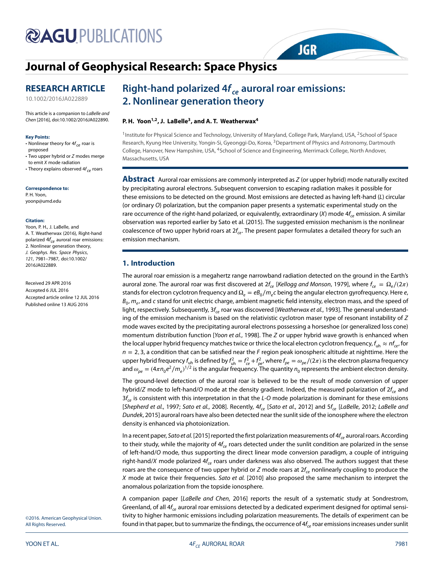# **@AGU PUBLICATIONS**

### **[Journal of Geophysical Research: Space Physics](http://onlinelibrary.wiley.com/journal/10.1002/(ISSN)2169-9402)**

### **RESEARCH ARTICLE**

[10.1002/2016JA022889](http://dx.doi.org/10.1002/2016JA022889)

This article is a companion to LaBelle and Chen [\[2016\]](#page-7-7), doi[:10.1002/2016JA022890.](http://dx.doi.org/10.1002/2016JA022890)

#### **Key Points:**

• Nonlinear theory for  $4f_{ce}$  roar is proposed

• Two upper hybrid or Z modes merge to emit X mode radiation

• Theory explains observed  $4f_{ce}$  roars

**Correspondence to:** P. H. Yoon, yoonp@umd.edu

#### **Citation:**

Yoon, P. H., J. LaBelle, and A. T. Weatherwax (2016), Right-hand polarized  $4f_{ce}$  auroral roar emissions: 2. Nonlinear generation theory, J. Geophys. Res. Space Physics, 121, 7981–7987, doi:10.1002/ 2016JA022889.

Received 29 APR 2016 Accepted 6 JUL 2016 Accepted article online 12 JUL 2016 Published online 13 AUG 2016

### **Right-hand polarized 4***f ce* **auroral roar emissions: 2. Nonlinear generation theory**

### **P. H. Yoon1,2, J. LaBelle3, and A. T. Weatherwax4**

<sup>1</sup> Institute for Physical Science and Technology, University of Maryland, College Park, Maryland, USA, <sup>2</sup>School of Space Research, Kyung Hee University, Yongin-Si, Gyeonggi-Do, Korea, <sup>3</sup>Department of Physics and Astronomy, Dartmouth College, Hanover, New Hampshire, USA, <sup>4</sup>School of Science and Engineering, Merrimack College, North Andover, Massachusetts, USA

**JGR** 

**Abstract** Auroral roar emissions are commonly interpreted as Z (or upper hybrid) mode naturally excited by precipitating auroral electrons. Subsequent conversion to escaping radiation makes it possible for these emissions to be detected on the ground. Most emissions are detected as having left-hand (L) circular (or ordinary O) polarization, but the companion paper presents a systematic experimental study on the rare occurrence of the right-hand polarized, or equivalently, extraordinary (X) mode  $4f_{ce}$  emission. A similar observation was reported earlier by Sato et al. (2015). The suggested emission mechanism is the nonlinear coalescence of two upper hybrid roars at  $2f_{ce}$ . The present paper formulates a detailed theory for such an emission mechanism.

### **1. Introduction**

The auroral roar emission is a megahertz range narrowband radiation detected on the ground in the Earth's auroral zone. The auroral roar was first discovered at 2f<sub>ce</sub> [Kellogg and Monson, [1979\]](#page-6-0), where  $f_{ce} = \Omega_e/(2\pi)$ stands for electron cyclotron frequency and  $\Omega_e = eB_0/m_e c$  being the angular electron gyrofrequency. Here e,  $B_0$ ,  $m_e$ , and c stand for unit electric charge, ambient magnetic field intensity, electron mass, and the speed of light, respectively. Subsequently,  $3f_{ce}$  roar was discovered [Weatherwax et al., [1993\]](#page-7-0). The general understanding of the emission mechanism is based on the relativistic cyclotron maser type of resonant instability of Z mode waves excited by the precipitating auroral electrons possessing a horseshoe (or generalized loss cone) momentum distribution function [Yoon et al., [1998\]](#page-7-1). The Z or upper hybrid wave growth is enhanced when the local upper hybrid frequency matches twice or thrice the local electron cyclotron frequency,  $f_{uh} \approx nf_{ce}$ , for n = 2*,* 3, a condition that can be satisfied near the F region peak ionospheric altitude at nighttime. Here the upper hybrid frequency  $f_{\rm uh}$  is defined by  $f_{\rm uh}^2=f_{ce}^2+f_{pe'}^2$ , where  $f_{pe}=\omega_{pe}/(2\pi)$  is the electron plasma frequency and  $\omega_{pe}=(4\pi n_0e^2/m_e)^{1/2}$  is the angular frequency. The quantity  $n_0$  represents the ambient electron density.

The ground-level detection of the auroral roar is believed to be the result of mode conversion of upper hybrid/Z mode to left-hand/O mode at the density gradient. Indeed, the measured polarization of  $2f_{ce}$  and  $3f_{ce}$  is consistent with this interpretation in that the L-O mode polarization is dominant for these emissions [Shepherd et al., [1997;](#page-7-2) Sato et al., [2008\]](#page-7-3). Recently,  $4f_{ce}$  [Sato et al., [2012\]](#page-7-4) and  $5f_{ce}$  [LaBelle, [2012;](#page-6-1) LaBelle and Dundek, [2015\]](#page-6-2) auroral roars have also been detected near the sunlit side of the ionosphere where the electron density is enhanced via photoionization.

In a recent paper, Sato et al. [\[2015\]](#page-7-5) reported the first polarization measurements of  $4f_{ce}$  auroral roars. According to their study, while the majority of  $4f_{ce}$  roars detected under the sunlit condition are polarized in the sense of left-hand/O mode, thus supporting the direct linear mode conversion paradigm, a couple of intriguing right-hand/X mode polarized  $4f_{ce}$  roars under darkness was also observed. The authors suggest that these roars are the consequence of two upper hybrid or Z mode roars at  $2f<sub>ce</sub>$  nonlinearly coupling to produce the X mode at twice their frequencies. Sato et al. [\[2010\]](#page-7-6) also proposed the same mechanism to interpret the anomalous polarization from the topside ionosphere.

A companion paper [LaBelle and Chen, [2016\]](#page-7-7) reports the result of a systematic study at Sondrestrom, Greenland, of all  $4f_{ce}$  auroral roar emissions detected by a dedicated experiment designed for optimal sensitivity to higher harmonic emissions including polarization measurements. The details of experiment can be found in that paper, but to summarize the findings, the occurrence of  $4f_{ce}$  roar emissions increases under sunlit

©2016. American Geophysical Union. All Rights Reserved.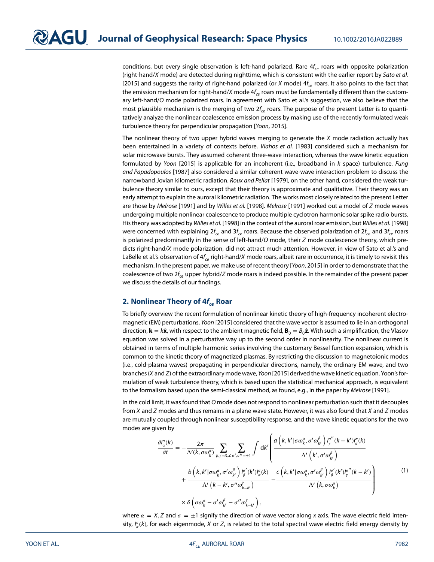conditions, but every single observation is left-hand polarized. Rare  $4f_{ce}$  roars with opposite polarization (right-hand/X mode) are detected during nighttime, which is consistent with the earlier report by Sato et al. [\[2015\]](#page-7-5) and suggests the rarity of right-hand polarized (or X mode)  $4f_{ce}$  roars. It also points to the fact that the emission mechanism for right-hand/X mode  $4f_{ce}$  roars must be fundamentally different than the customary left-hand/O mode polarized roars. In agreement with Sato et al.'s suggestion, we also believe that the most plausible mechanism is the merging of two  $2f_{ce}$  roars. The purpose of the present Letter is to quantitatively analyze the nonlinear coalescence emission process by making use of the recently formulated weak turbulence theory for perpendicular propagation [Yoon, [2015\]](#page-7-8).

The nonlinear theory of two upper hybrid waves merging to generate the  $X$  mode radiation actually has been entertained in a variety of contexts before. Vlahos et al. [\[1983\]](#page-7-9) considered such a mechanism for solar microwave bursts. They assumed coherent three-wave interaction, whereas the wave kinetic equation formulated by Yoon [\[2015\]](#page-7-8) is applicable for an incoherent (i.e., broadband in  $k$  space) turbulence. Fung and Papadopoulos [\[1987\]](#page-6-3) also considered a similar coherent wave-wave interaction problem to discuss the narrowband Jovian kilometric radiation. Roux and Pellat [\[1979\]](#page-7-10), on the other hand, considered the weak turbulence theory similar to ours, except that their theory is approximate and qualitative. Their theory was an early attempt to explain the auroral kilometric radiation. The works most closely related to the present Letter are those by Melrose [\[1991\]](#page-7-11) and by Willes et al. [\[1998\]](#page-7-12). Melrose [1991] worked out a model of Z mode waves undergoing multiple nonlinear coalescence to produce multiple cyclotron harmonic solar spike radio bursts. His theory was adopted by Willes et al. [\[1998\]](#page-7-12) in the context of the auroral roar emission, but Willes et al. [\[1998\]](#page-7-12) were concerned with explaining  $2f_{ce}$  and  $3f_{ce}$  roars. Because the observed polarization of  $2f_{ce}$  and  $3f_{ce}$  roars is polarized predominantly in the sense of left-hand/O mode, their  $Z$  mode coalescence theory, which predicts right-hand/X mode polarization, did not attract much attention. However, in view of Sato et al.'s and LaBelle et al.'s observation of  $4f_{ce}$  right-hand/X mode roars, albeit rare in occurrence, it is timely to revisit this mechanism. In the present paper, we make use of recent theory [Yoon, [2015\]](#page-7-8) in order to demonstrate that the coalescence of two  $2f_c$ , upper hybrid/Z mode roars is indeed possible. In the remainder of the present paper we discuss the details of our findings.

### **2. Nonlinear Theory of 4** $f_c$  **Roar**

To briefly overview the recent formulation of nonlinear kinetic theory of high-frequency incoherent electromagnetic (EM) perturbations, Yoon [\[2015\]](#page-7-8) considered that the wave vector is assumed to lie in an orthogonal direction,  $\mathbf{k} = k\hat{\mathbf{x}}$ , with respect to the ambient magnetic field,  $\mathbf{B}_0 = B_0\hat{\mathbf{z}}$ . With such a simplification, the Vlasov equation was solved in a perturbative way up to the second order in nonlinearity. The nonlinear current is obtained in terms of multiple harmonic series involving the customary Bessel function expansion, which is common to the kinetic theory of magnetized plasmas. By restricting the discussion to magnetoionic modes (i.e., cold-plasma waves) propagating in perpendicular directions, namely, the ordinary EM wave, and two branches (X and Z) of the extraordinary mode wave, Yoon [\[2015\]](#page-7-8) derived the wave kinetic equation. Yoon's formulation of weak turbulence theory, which is based upon the statistical mechanical approach, is equivalent to the formalism based upon the semi-classical method, as found, e.g., in the paper by Melrose [\[1991\]](#page-7-11).

In the cold limit, it was found that O mode does not respond to nonlinear perturbation such that it decouples from X and Z modes and thus remains in a plane wave state. However, it was also found that X and Z modes are mutually coupled through nonlinear susceptibility response, and the wave kinetic equations for the two modes are given by

<span id="page-2-0"></span>
$$
\frac{\partial l_{\alpha}^{\sigma}(k)}{\partial t} = -\frac{2\pi}{\Lambda'(k, \sigma\omega_{k}^{\alpha})} \sum_{\beta,\gamma=X,Z} \sum_{\sigma',\sigma''=\pm 1} \int \mathrm{d}k' \left( \frac{a\left(k, k' | \sigma\omega_{k}^{\alpha}, \sigma'\omega_{k'}^{\beta}\right) l_{\gamma}^{\sigma'}(k-k') l_{\alpha}^{\sigma}(k)}{\Lambda'\left(k', \sigma'\omega_{k'}^{\beta}\right)} \right. \\
\left. + \frac{b\left(k, k' | \sigma\omega_{k}^{\alpha}, \sigma'\omega_{k'}^{\beta}\right) l_{\beta}^{\sigma'}(k') l_{\alpha}^{\sigma}(k)}{\Lambda'\left(k-k', \sigma''\omega_{k-k'}^{\gamma}\right)} - \frac{c\left(k, k' | \sigma\omega_{k}^{\alpha}, \sigma'\omega_{k'}^{\beta}\right) l_{\beta}^{\sigma'}(k') l_{\gamma}^{\sigma''}(k-k')}{\Lambda'\left(k, \sigma\omega_{k}^{\alpha}\right)} \right) \right) \tag{1}
$$

where  $\alpha = X$ , Z and  $\sigma = \pm 1$  signify the direction of wave vector along x axis. The wave electric field intensity,  $I_{\alpha}^{\sigma}(k)$ , for each eigenmode, X or Z, is related to the total spectral wave electric field energy density by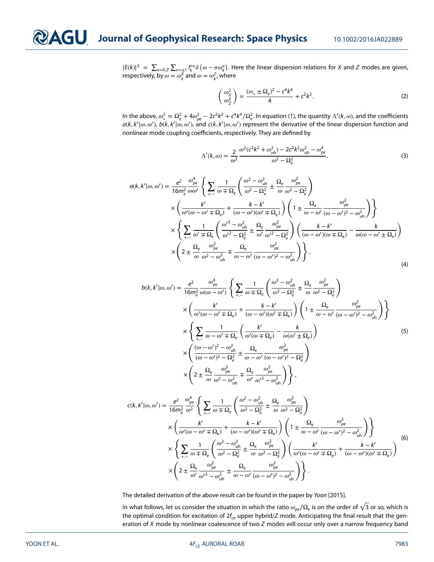$|E(k)|^2 = \sum_{\alpha = X,Z} \sum_{\sigma = \pm 1} I_{k}^{\sigma \alpha} \delta\left(\omega - \sigma \omega_k^{\alpha}\right)$ . Here the linear dispersion relations for X and Z modes are given, respectively, by  $\omega = \omega_k^X$  and  $\omega = \omega_{k'}^Z$ , where

<span id="page-3-0"></span>
$$
\begin{pmatrix} \omega_{\chi}^{2} \\ \omega_{Z}^{2} \end{pmatrix} = \frac{(\omega_{*} \pm \Omega_{e})^{2} - c^{4}k^{4}}{4} + c^{2}k^{2}.
$$
 (2)

In the above,  $\omega_*^2 = \Omega_e^2 + 4\omega_{pe}^2 - 2c^2k^2 + c^4k^4/\Omega_e^2$ . In equation [\(1\)](#page-2-0), the quantity  $\Lambda'(k,\omega)$ , and the coefficients  $a(k, k'|\omega, \omega')$ ,  $b(k, k'|\omega, \omega')$ , and  $c(k, k'|\omega, \omega')$  represent the derivative of the linear dispersion function and nonlinear mode coupling coefficients, respectively. They are defined by

$$
\Lambda'(k,\omega) = \frac{2}{\omega^3} \frac{\omega^2 (c^2 k^2 + \omega_{\rm uh}^2) - 2c^2 k^2 \omega_{\rm uh}^2 - \omega_{\rm pe}^4}{\omega^2 - \Omega_e^2},\tag{3}
$$

$$
a(k, k'|\omega, \omega') = \frac{e^2}{16m_e^2} \frac{\omega_{pe}^4}{\omega \omega'} \left\{ \sum_{+,-} \frac{1}{\omega + \Omega_e} \left( \frac{\omega^2 - \omega_{\text{uh}}^2}{\omega^2 - \Omega_e^2} \pm \frac{\Omega_e}{\omega} \frac{\omega_{pe}^2}{\omega^2 - \Omega_e^2} \right) \right.\times \left( \frac{k'}{\omega'(\omega - \omega' \mp \Omega_e)} + \frac{k - k'}{(\omega - \omega')( \omega' \mp \Omega_e)} \right) \left( 1 \pm \frac{\Omega_e}{\omega - \omega'} \frac{\omega_{pe}^2}{(\omega - \omega')^2 - \omega_{\text{uh}}^2} \right) \right\}\times \left\{ \sum_{+,-} \frac{1}{\omega' \mp \Omega_e} \left( \frac{\omega'^2 - \omega_{\text{uh}}^2}{\omega'^2 - \Omega_e^2} \pm \frac{\Omega_e}{\omega'} \frac{\omega_{pe}^2}{\omega'^2 - \Omega_e^2} \right) \left( \frac{k - k'}{(\omega - \omega')( \omega \mp \Omega_e)} - \frac{k}{\omega(\omega - \omega' \pm \Omega_e)} \right) \right.\times \left( 2 \pm \frac{\Omega_e}{\omega} \frac{\omega_{pe}^2}{\omega^2 - \omega_{\text{uh}}^2} \mp \frac{\Omega_e}{\omega - \omega'} \frac{\omega_{pe}^2}{(\omega - \omega')^2 - \omega_{\text{uh}}^2} \right) \right\},
$$
\n(4)

$$
b(k, k'|\omega, \omega') = \frac{e^2}{16m_e^2} \frac{\omega_{pe}^4}{\omega(\omega - \omega')} \left\{ \sum_{+,-} \frac{1}{\omega + \Omega_e} \left( \frac{\omega^2 - \omega_{uh}^2}{\omega^2 - \Omega_e^2} \pm \frac{\Omega_e}{\omega} \frac{\omega_{pe}^2}{\omega^2 - \Omega_e^2} \right) \right. \\
\left. \times \left( \frac{k'}{\omega'(\omega - \omega' \mp \Omega_e)} + \frac{k - k'}{(\omega - \omega')(\omega' \mp \Omega_e)} \right) \left( 1 \pm \frac{\Omega_e}{\omega - \omega'} \frac{\omega_{pe}^2}{(\omega - \omega')^2 - \omega_{uh}^2} \right) \right\} \\
\times \left\{ \sum_{+,-} \frac{1}{\omega - \omega' \mp \Omega_e} \left( \frac{k'}{\omega'(\omega \mp \Omega_e)} - \frac{k}{\omega(\omega' \pm \Omega_e)} \right) \right\} \\
\times \left( \frac{(\omega - \omega')^2 - \omega_{uh}^2}{(\omega - \omega')^2 - \Omega_e^2} \pm \frac{\Omega_e}{\omega - \omega'} \frac{\omega_{pe}^2}{(\omega - \omega')^2 - \Omega_e^2} \right) \\
\times \left( 2 \pm \frac{\Omega_e}{\omega} \frac{\omega_{pe}^2}{\omega^2 - \omega_{uh}^2} \mp \frac{\Omega_e}{\omega'} \frac{\omega_{pe}^2}{\omega'^2 - \omega_{uh}^2} \right) \right\},
$$
\n(5)

$$
c(k, k'|\omega, \omega') = \frac{e^2}{16m_e^2} \frac{\omega_{pe}^4}{\omega^2} \left\{ \sum_{+,-} \frac{1}{\omega \mp \Omega_e} \left( \frac{\omega^2 - \omega_{uh}^2}{\omega^2 - \Omega_e^2} \pm \frac{\Omega_e}{\omega} \frac{\omega_{pe}^2}{\omega^2 - \Omega_e^2} \right) \right.\times \left( \frac{k'}{\omega'(\omega - \omega' \mp \Omega_e)} + \frac{k - k'}{(\omega - \omega')(\omega' \mp \Omega_e)} \right) \left( 1 \pm \frac{\Omega_e}{\omega - \omega'} \frac{\omega_{pe}^2}{(\omega - \omega')^2 - \omega_{uh}^2} \right) \right\}\times \left\{ \sum_{+,-} \frac{1}{\omega \mp \Omega_e} \left( \frac{\omega^2 - \omega_{uh}^2}{\omega^2 - \Omega_e^2} \pm \frac{\Omega_e}{\omega} \frac{\omega_{pe}^2}{\omega^2 - \Omega_e^2} \right) \left( \frac{k'}{\omega'(\omega - \omega' \mp \Omega_e)} + \frac{k - k'}{(\omega - \omega')(\omega' \mp \Omega_e)} \right) \right\}\times \left( 2 \pm \frac{\Omega_e}{\omega'} \frac{\omega_{pe}^2}{\omega'^2 - \omega_{uh}^2} \pm \frac{\Omega_e}{\omega - \omega'} \frac{\omega_{pe}^2}{(\omega - \omega')^2 - \omega_{uh}^2} \right) \right\}.
$$
(6)

The detailed derivation of the above result can be found in the paper by Yoon [\[2015\]](#page-7-8).

In what follows, let us consider the situation in which the ratio  $\omega_{pe}/\Omega_e$  is on the order of  $\sqrt{3}$  or so, which is the optimal condition for excitation of  $2f_{ce}$  upper hybrid/Z mode. Anticipating the final result that the generation of  $X$  mode by nonlinear coalescence of two  $Z$  modes will occur only over a narrow frequency band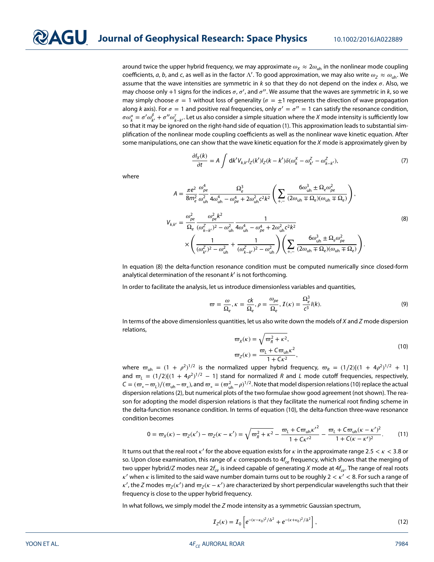around twice the upper hybrid frequency, we may approximate  $\omega_X \approx 2\omega_{\text{uh}}$  in the nonlinear mode coupling coefficients,  $a$ ,  $b$ , and  $c$ , as well as in the factor  $\Lambda'$ . To good approximation, we may also write  $\omega_Z\approx\omega_{\rm uh}$ . We assume that the wave intensities are symmetric in  $k$  so that they do not depend on the index  $\sigma$ . Also, we may choose only +1 signs for the indices  $\sigma$ ,  $\sigma'$ , and  $\sigma''$ . We assume that the waves are symmetric in k, so we may simply choose  $\sigma = 1$  without loss of generality ( $\sigma = \pm 1$  represents the direction of wave propagation along k axis). For  $\sigma = 1$  and positive real frequencies, only  $\sigma' = \sigma'' = 1$  can satisfy the resonance condition,  $\sigma\omega_k^a=\sigma'\omega_{k'}^\beta+\sigma''\omega_{k-k'}^\gamma$ . Let us also consider a simple situation where the X mode intensity is sufficiently low so that it may be ignored on the right-hand side of equation [\(1\)](#page-2-0). This approximation leads to substantial simplification of the nonlinear mode coupling coefficients as well as the nonlinear wave kinetic equation. After some manipulations, one can show that the wave kinetic equation for the  $X$  mode is approximately given by

$$
\frac{\partial I_X(k)}{\partial t} = A \int \mathrm{d}k' V_{k,k'} I_Z(k') I_Z(k-k') \delta(\omega_k^X - \omega_{k'}^Z - \omega_{k-k'}^Z),\tag{7}
$$

where

<span id="page-4-0"></span>
$$
A = \frac{\pi e^2}{8m_e^2} \frac{\omega_{pe}^4}{\omega_{uh}^2} \frac{\Omega_e^3}{4\omega_{uh}^4 - \omega_{pe}^4 + 2\omega_{uh}^2 c^2 k^2} \left( \sum_{+,-} \frac{6\omega_{uh}^3 \pm \Omega_e \omega_{pe}^2}{(2\omega_{uh} \mp \Omega_e)(\omega_{uh} \mp \Omega_e)} \right),
$$
  

$$
V_{k,k'} = \frac{\omega_{pe}^2}{\Omega_e} \frac{\omega_{pe}^2 k^2}{(\omega_{k-k'}^2)^2 - \omega_{uh}^2} \frac{1}{4\omega_{uh}^4 - \omega_{pe}^4 + 2\omega_{uh}^2 c^2 k^2}
$$
  

$$
\times \left( \frac{1}{(\omega_{k'}^2)^2 - \omega_{uh}^2} + \frac{1}{(\omega_{k-k'}^2)^2 - \omega_{uh}^2} \right) \left( \sum_{+,-} \frac{6\omega_{uh}^3 \pm \Omega_e \omega_{pe}^2}{(2\omega_{uh} \mp \Omega_e)(\omega_{uh} \mp \Omega_e)} \right).
$$
(8)

In equation [\(8\)](#page-4-0) the delta-function resonance condition must be computed numerically since closed-form analytical determination of the resonant  $k'$  is not forthcoming.

In order to facilitate the analysis, let us introduce dimensionless variables and quantities,

$$
\varpi = \frac{\omega}{\Omega_e}, \kappa = \frac{ck}{\Omega_e}, \rho = \frac{\omega_{pe}}{\Omega_e}, \mathcal{I}(\kappa) = \frac{\Omega_e^3}{c^3} l(k). \tag{9}
$$

In terms of the above dimensionless quantities, let us also write down the models of  $X$  and  $Z$  mode dispersion relations,

<span id="page-4-1"></span>
$$
\varpi_X(\kappa) = \sqrt{\varpi_R^2 + \kappa^2},
$$
  
\n
$$
\varpi_Z(\kappa) = \frac{\varpi_L + C\varpi_{\text{uh}}\kappa^2}{1 + C\kappa^2},
$$
\n(10)

where  $\varpi_{\text{uh}} = (1 + \rho^2)^{1/2}$  is the normalized upper hybrid frequency,  $\varpi_R = (1/2)[(1 + 4\rho^2)^{1/2} + 1]$ and  $\omega_L = (1/2)[(1 + 4\rho^2)^{1/2} - 1]$  stand for normalized R and L mode cutoff frequencies, respectively,  $C=(\varpi_*-\varpi_l)/(\varpi_{\rm uh}-\varpi_*)$ , and  $\varpi_*=(\varpi_{\rm uh}^2-\rho)^{1/2}.$  Note that model dispersion relations [\(10\)](#page-4-1) replace the actual dispersion relations [\(2\)](#page-3-0), but numerical plots of the two formulae show good agreement (not shown). The reason for adopting the model dispersion relations is that they facilitate the numerical root finding scheme in the delta-function resonance condition. In terms of equation [\(10\)](#page-4-1), the delta-function three-wave resonance condition becomes

<span id="page-4-2"></span>
$$
0 = \varpi_X(\kappa) - \varpi_Z(\kappa') - \varpi_Z(\kappa - \kappa') = \sqrt{\varpi_R^2 + \kappa^2} - \frac{\varpi_L + C\varpi_{\text{uh}}\kappa'^2}{1 + C\kappa'^2} - \frac{\varpi_L + C\varpi_{\text{uh}}(\kappa - \kappa')^2}{1 + C(\kappa - \kappa')^2}.
$$
 (11)

It turns out that the real root  $\kappa'$  for the above equation exists for  $\kappa$  in the approximate range 2.5  $\lt$   $\kappa$   $\lt$  3.8 or so. Upon close examination, this range of  $\kappa$  corresponds to  $4f_{ce}$  frequency, which shows that the merging of two upper hybrid/Z modes near  $2f_{ce}$  is indeed capable of generating X mode at  $4f_{ce}$ . The range of real roots  $\kappa'$  when  $\kappa$  is limited to the said wave number domain turns out to be roughly  $2 < \kappa' < 8$ . For such a range of  $\kappa'$ , the Z modes  $\varpi_Z(\kappa')$  and  $\varpi_Z(\kappa-\kappa')$  are characterized by short perpendicular wavelengths such that their frequency is close to the upper hybrid frequency.

In what follows, we simply model the  $Z$  mode intensity as a symmetric Gaussian spectrum,

<span id="page-4-3"></span>
$$
\mathcal{I}_Z(\kappa) = \mathcal{I}_0 \left[ e^{-(\kappa - \kappa_0)^2/\Delta^2} + e^{-(\kappa + \kappa_0)^2/\Delta^2} \right],
$$
\n(12)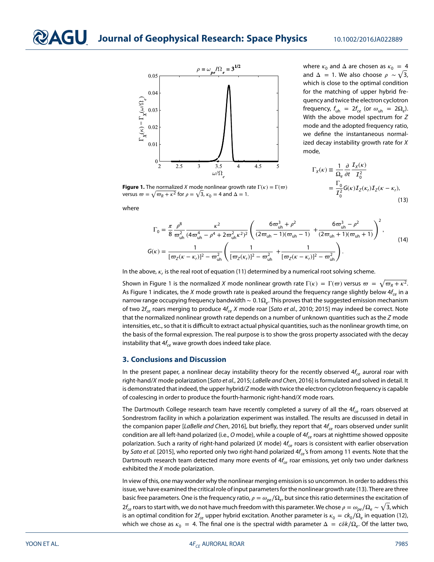



**Figure 1.** The normalized X mode nonlinear growth rate  $\Gamma(\kappa) = \Gamma(\varpi)$ 

<span id="page-5-0"></span>versus  $\omega = \sqrt{\omega_R + \kappa^2}$  for  $\rho = \sqrt{3}$ ,  $\kappa_0 = 4$  and  $\Delta = 1$ .

where  $\kappa_0$  and  $\Delta$  are chosen as  $\kappa_0 = 4$ and  $\Delta = 1$ . We also choose  $\rho \sim \sqrt{3}$ , which is close to the optimal condition for the matching of upper hybrid frequency and twice the electron cyclotron frequency,  $f_{uh} = 2f_{ce}$  (or  $\omega_{uh} = 2\Omega_e$ ). With the above model spectrum for Z mode and the adopted frequency ratio, we define the instantaneous normalized decay instability growth rate for X mode,

<span id="page-5-1"></span>
$$
\Gamma_X(\kappa) \equiv \frac{1}{\Omega_e} \frac{\partial}{\partial t} \frac{\mathcal{I}_X(\kappa)}{\mathcal{I}_0^2}
$$

$$
= \frac{\Gamma_0}{\mathcal{I}_0^2} G(\kappa) \mathcal{I}_Z(\kappa_r) \mathcal{I}_Z(\kappa - \kappa_r), \tag{13}
$$

where

$$
\Gamma_0 = \frac{\pi}{8} \frac{\rho^8}{\omega_{\text{uh}}^2} \frac{\kappa^2}{(4\omega_{\text{uh}}^4 - \rho^4 + 2\omega_{\text{uh}}^2 \kappa^2)^2} \left( \frac{6\omega_{\text{uh}}^3 + \rho^2}{(2\omega_{\text{uh}} - 1)(\omega_{\text{uh}} - 1)} + \frac{6\omega_{\text{uh}}^3 - \rho^2}{(2\omega_{\text{uh}} + 1)(\omega_{\text{uh}} + 1)} \right)^2,
$$
\n
$$
G(\kappa) = \frac{1}{[\omega_Z(\kappa - \kappa_r)]^2 - \omega_{\text{uh}}^2} \left( \frac{1}{[\omega_Z(\kappa_r)]^2 - \omega_{\text{uh}}^2} + \frac{1}{[\omega_Z(\kappa - \kappa_r)]^2 - \omega_{\text{uh}}^2} \right).
$$
\n(14)

In the above,  $\kappa$ , is the real root of equation [\(11\)](#page-4-2) determined by a numerical root solving scheme.

Shown in Figure [1](#page-5-0) is the normalized X mode nonlinear growth rate  $\Gamma(\kappa) = \Gamma(\varpi)$  versus  $\varpi = \sqrt{\varpi_R + \kappa^2}$ . As Figure [1](#page-5-0) indicates, the X mode growth rate is peaked around the frequency range slightly below  $4f_{ce}$  in a narrow range occupying frequency bandwidth ~ 0.1Ω<sub>e</sub>. This proves that the suggested emission mechanism of two  $2f_{ce}$  roars merging to produce  $4f_{ce}$  X mode roar [Sato et al., 2010; 2015] may indeed be correct. Note that the normalized nonlinear growth rate depends on a number of unknown quantities such as the  $Z$  mode intensities, etc., so that it is difficult to extract actual physical quantities, such as the nonlinear growth time, on the basis of the formal expression. The real purpose is to show the gross property associated with the decay instability that  $4f_{ce}$  wave growth does indeed take place.

### **3. Conclusions and Discussion**

In the present paper, a nonlinear decay instability theory for the recently observed  $4f_c$  auroral roar with right-hand/X mode polarization [Sato et al., [2015;](#page-7-5) LaBelle and Chen, [2016\]](#page-7-7) is formulated and solved in detail. It is demonstrated that indeed, the upper hybrid/Z mode with twice the electron cyclotron frequency is capable of coalescing in order to produce the fourth-harmonic right-hand/X mode roars.

The Dartmouth College research team have recently completed a survey of all the  $4f_{ce}$  roars observed at Sondrestrom facility in which a polarization experiment was installed. The results are discussed in detail in the companion paper [LaBelle and Chen, [2016\]](#page-7-7), but briefly, they report that  $4f_{ce}$  roars observed under sunlit condition are all left-hand polarized (i.e., O mode), while a couple of  $4f_{ce}$  roars at nighttime showed opposite polarization. Such a rarity of right-hand polarized (X mode)  $4f_c$  roars is consistent with earlier observation by Sato et al. [\[2015\]](#page-7-5), who reported only two right-hand polarized  $4f_{ce}$ 's from among 11 events. Note that the Dartmouth research team detected many more events of  $4f_{ce}$  roar emissions, yet only two under darkness exhibited the  $X$  mode polarization.

In view of this, one may wonder why the nonlinear merging emission is so uncommon. In order to address this issue, we have examined the critical role of input parameters for the nonlinear growth rate [\(13\)](#page-5-1). There are three basic free parameters. One is the frequency ratio,  $\rho = \omega_{pe}/\Omega_e$ , but since this ratio determines the excitation of 2f<sub>ce</sub> roars to start with, we do not have much freedom with this parameter. We chose  $\rho=\omega_{pe}/\Omega_e\sim \sqrt{3}$ , which is an optimal condition for  $2f_{ce}$  upper hybrid excitation. Another parameter is  $\kappa_0 = ck_0/\Omega_e$  in equation [\(12\)](#page-4-3), which we chose as  $\kappa_0 = 4$ . The final one is the spectral width parameter  $\Delta = c \delta k / \Omega_e$ . Of the latter two,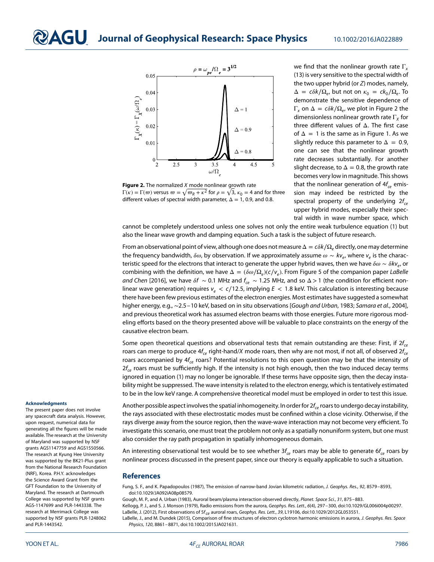

<span id="page-6-4"></span>**Figure 2.** The normalized *X* mode nonlinear growth rate  $\Gamma(\kappa) = \Gamma(\varpi)$  versus  $\varpi = \sqrt{\varpi_R + \kappa^2}$  for  $\rho = \sqrt{3}$ ,  $\kappa_0 = 4$  and for three different values of spectral width parameter,  $\Delta = 1$ , 0.9, and 0.8.

we find that the nonlinear growth rate  $\Gamma_{\mathbf{x}}$ [\(13\)](#page-5-1) is very sensitive to the spectral width of the two upper hybrid (or Z) modes, namely,  $\Delta = c\delta k/\Omega_e$ , but not on  $\kappa_0 = c k_0/\Omega_e$ . To demonstrate the sensitive dependence of Γ<sub>x</sub> on  $\Delta = \frac{c \delta k}{\Omega_e}$ , we plot in Figure [2](#page-6-4) the dimensionless nonlinear growth rate  $\Gamma_{\chi}$  for three different values of Δ. The first case of  $\Delta = 1$  is the same as in Figure [1.](#page-5-0) As we slightly reduce this parameter to  $\Delta = 0.9$ , one can see that the nonlinear growth rate decreases substantially. For another slight decrease, to  $\Delta = 0.8$ , the growth rate becomes very low in magnitude. This shows that the nonlinear generation of  $4f_{ce}$  emission may indeed be restricted by the spectral property of the underlying  $2f_{ce}$ upper hybrid modes, especially their spectral width in wave number space, which

cannot be completely understood unless one solves not only the entire weak turbulence equation [\(1\)](#page-2-0) but also the linear wave growth and damping equation. Such a task is the subject of future research.

From an observational point of view, although one does not measure  $\Delta = c\delta k/\Omega_e$  directly, one may determine the frequency bandwidth,  $\delta\omega$ , by observation. If we approximately assume  $\omega \sim k v_e$ , where  $v_e$  is the characteristic speed for the electrons that interact to generate the upper hybrid waves, then we have  $\delta\omega \sim \delta k v_e$ , or combining with the definition, we have  $\Delta = (\delta \omega / \Omega_e)(c/v_e)$ . From Figure 5 of the companion paper LaBelle and Chen [\[2016\]](#page-7-7), we have  $\delta f \sim 0.1$  MHz and  $f_{ce} \sim 1.25$  MHz, and so  $\Delta > 1$  (the condition for efficient nonlinear wave generation) requires ve *<* c∕12*.*5, implying E *<* 1*.*8 keV. This calculation is interesting because there have been few previous estimates of the electron energies. Most estimates have suggested a somewhat higher energy, e.g., ∼2.5–10 keV, based on in situ observations [Gough and Urban, [1983;](#page-6-5) Samara et al., [2004\]](#page-7-13), and previous theoretical work has assumed electron beams with those energies. Future more rigorous modeling efforts based on the theory presented above will be valuable to place constraints on the energy of the causative electron beam.

Some open theoretical questions and observational tests that remain outstanding are these: First, if  $2f_{ce}$ roars can merge to produce  $4f_{ce}$  right-hand/X mode roars, then why are not most, if not all, of observed  $2f_{ce}$ roars accompanied by  $4f_{ce}$  roars? Potential resolutions to this open question may be that the intensity of  $2f_{ce}$  roars must be sufficiently high. If the intensity is not high enough, then the two induced decay terms ignored in equation [\(1\)](#page-2-0) may no longer be ignorable. If these terms have opposite sign, then the decay instability might be suppressed. The wave intensity is related to the electron energy, which is tentatively estimated to be in the low keV range. A comprehensive theoretical model must be employed in order to test this issue.

#### **Acknowledgments**

The present paper does not involve any spacecraft data analysis. However, upon request, numerical data for generating all the figures will be made available. The research at the University of Maryland was supported by NSF grants AGS1147759 and AGS1550566. The research at Kyung Hee University was supported by the BK21-Plus grant from the National Research Foundation (NRF), Korea. P.H.Y. acknowledges the Science Award Grant from the GFT Foundation to the University of Maryland. The research at Dartmouth College was supported by NSF grants AGS-1147699 and PLR-1443338. The research at Merrimack College was supported by NSF grants PLR-1248062 and PLR-1443542.

Another possible aspect involves the spatial inhomogeneity. In order for  $2f_{ce}$  roars to undergo decay instability, the rays associated with these electrostatic modes must be confined within a close vicinity. Otherwise, if the rays diverge away from the source region, then the wave-wave interaction may not become very efficient. To investigate this scenario, one must treat the problem not only as a spatially nonuniform system, but one must also consider the ray path propagation in spatially inhomogeneous domain.

An interesting observational test would be to see whether  $3f_{ce}$  roars may be able to generate 6 $f_{ce}$  roars by nonlinear process discussed in the present paper, since our theory is equally applicable to such a situation.

### **References**

<span id="page-6-3"></span>Fung, S. F., and K. Papadopoulos (1987), The emission of narrow-band Jovian kilometric radiation, J. Geophys. Res., 92, 8579-8593, doi[:10.1029/JA092iA08p08579.](http://dx.doi.org/10.1029/JA092iA08p08579)

<span id="page-6-5"></span><span id="page-6-0"></span>Gough, M. P., and A. Urban (1983), Auroral beam/plasma interaction observed directly, Planet. Space Sci., 31, 875–883.

<span id="page-6-1"></span>Kellogg, P. J., and S. J. Monson (1979), Radio emissions from the aurora, Geophys. Res. Lett., 6(4), 297–300, doi[:10.1029/GL006i004p00297.](http://dx.doi.org/10.1029/GL006i004p00297) LaBelle, J. (2012), First observations of 5f<sub>ce</sub> auroral roars, Geophys. Res. Lett., 39, L19106, doi[:10.1029/2012GL053551.](http://dx.doi.org/10.1029/2012GL053551)

<span id="page-6-2"></span>LaBelle, J., and M. Dundek (2015), Comparison of fine structures of electron cyclotron harmonic emissions in aurora, J. Geophys. Res. Space Physics, 120, 8861–8871, doi[:10.1002/2015JA021631.](http://dx.doi.org/10.1002/2015JA021631)